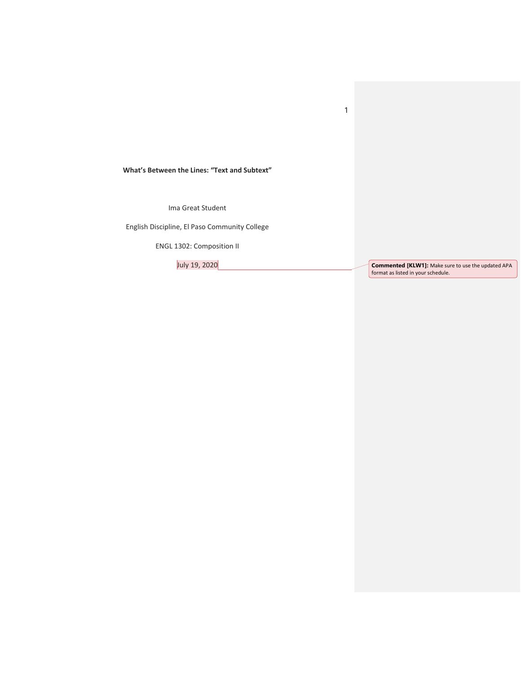**What's Between the Lines: "Text and Subtext"**

Ima Great Student

English Discipline, El Paso Community College

ENGL 1302: Composition II

July 19, 2020 **Commented [KLW1]:** Make sure to use the updated APA format as listed in your schedule.

1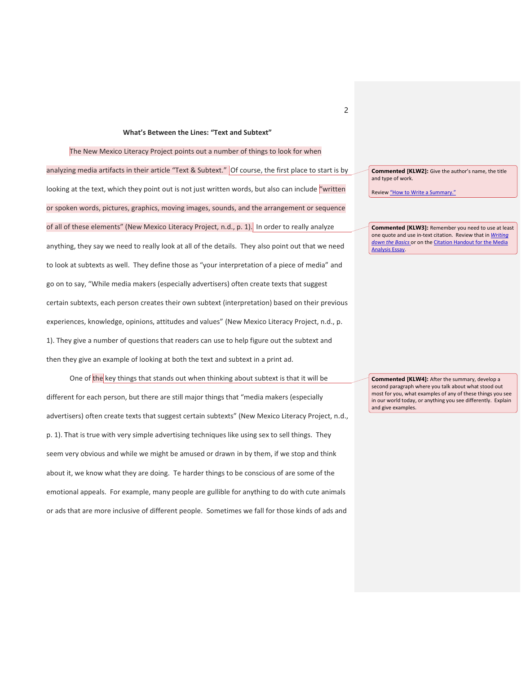## **What's Between the Lines: "Text and Subtext"**

The New Mexico Literacy Project points out a number of things to look for when analyzing media artifacts in their article "Text & Subtext." Of course, the first place to start is by looking at the text, which they point out is not just written words, but also can include "written or spoken words, pictures, graphics, moving images, sounds, and the arrangement or sequence of all of these elements" (New Mexico Literacy Project, n.d., p. 1). In order to really analyze anything, they say we need to really look at all of the details. They also point out that we need to look at subtexts as well. They define those as "your interpretation of a piece of media" and go on to say, "While media makers (especially advertisers) often create texts that suggest certain subtexts, each person creates their own subtext (interpretation) based on their previous experiences, knowledge, opinions, attitudes and values" (New Mexico Literacy Project, n.d., p. 1). They give a number of questions that readers can use to help figure out the subtext and then they give an example of looking at both the text and subtext in a print ad.

One of the key things that stands out when thinking about subtext is that it will be different for each person, but there are still major things that "media makers (especially advertisers) often create texts that suggest certain subtexts" (New Mexico Literacy Project, n.d., p. 1). That is true with very simple advertising techniques like using sex to sell things. They seem very obvious and while we might be amused or drawn in by them, if we stop and think about it, we know what they are doing. Te harder things to be conscious of are some of the emotional appeals. For example, many people are gullible for anything to do with cute animals or ads that are more inclusive of different people. Sometimes we fall for those kinds of ads and

**Commented [KLW2]:** Give the author's name, the title and type of work.

Review "How to Write a Summary."

**Commented [KLW3]:** Remember you need to use at least one quote and use in-text citation. Review that in *[Writing](https://kelli.ninja/Writing_down_the_Basics.pdf)  [down the](https://kelli.ninja/Writing_down_the_Basics.pdf) Basics* or on the [Citation Handout](http://kelli.ninja/1301/e3/Cite%20Ad%20Website%20Format%20HangIndent%20Sources%20NoNumbers%20Headings-4-23-2020.pdf) for the Media [Analysis Essay.](http://kelli.ninja/1301/e3/Cite%20Ad%20Website%20Format%20HangIndent%20Sources%20NoNumbers%20Headings-4-23-2020.pdf) 

**Commented [KLW4]:** After the summary, develop a second paragraph where you talk about what stood out most for you, what examples of any of these things you see in our world today, or anything you see differently. Explain and give examples.

2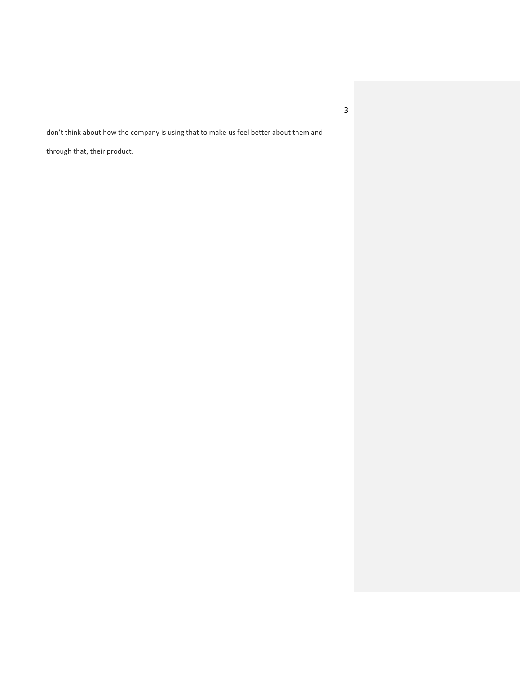don't think about how the company is using that to make us feel better about them and

through that, their product.